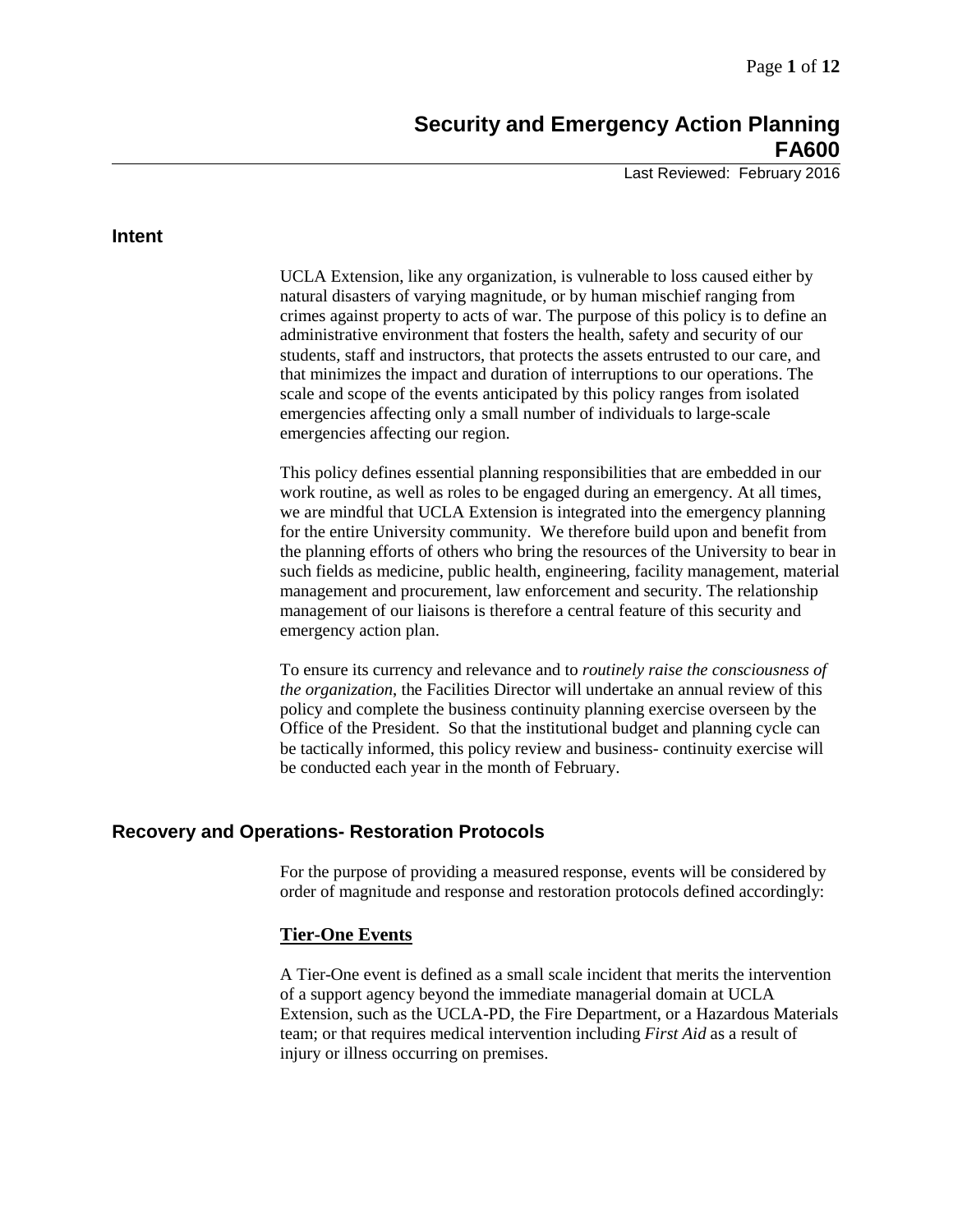# **Security and Emergency Action Planning FA600**

Last Reviewed: February 2016

### **Intent**

UCLA Extension, like any organization, is vulnerable to loss caused either by natural disasters of varying magnitude, or by human mischief ranging from crimes against property to acts of war. The purpose of this policy is to define an administrative environment that fosters the health, safety and security of our students, staff and instructors, that protects the assets entrusted to our care, and that minimizes the impact and duration of interruptions to our operations. The scale and scope of the events anticipated by this policy ranges from isolated emergencies affecting only a small number of individuals to large-scale emergencies affecting our region.

This policy defines essential planning responsibilities that are embedded in our work routine, as well as roles to be engaged during an emergency. At all times, we are mindful that UCLA Extension is integrated into the emergency planning for the entire University community. We therefore build upon and benefit from the planning efforts of others who bring the resources of the University to bear in such fields as medicine, public health, engineering, facility management, material management and procurement, law enforcement and security. The relationship management of our liaisons is therefore a central feature of this security and emergency action plan.

To ensure its currency and relevance and to *routinely raise the consciousness of the organization*, the Facilities Director will undertake an annual review of this policy and complete the business continuity planning exercise overseen by the Office of the President. So that the institutional budget and planning cycle can be tactically informed, this policy review and business- continuity exercise will be conducted each year in the month of February.

## **Recovery and Operations- Restoration Protocols**

For the purpose of providing a measured response, events will be considered by order of magnitude and response and restoration protocols defined accordingly:

### **Tier-One Events**

A Tier-One event is defined as a small scale incident that merits the intervention of a support agency beyond the immediate managerial domain at UCLA Extension, such as the UCLA-PD, the Fire Department, or a Hazardous Materials team; or that requires medical intervention including *First Aid* as a result of injury or illness occurring on premises.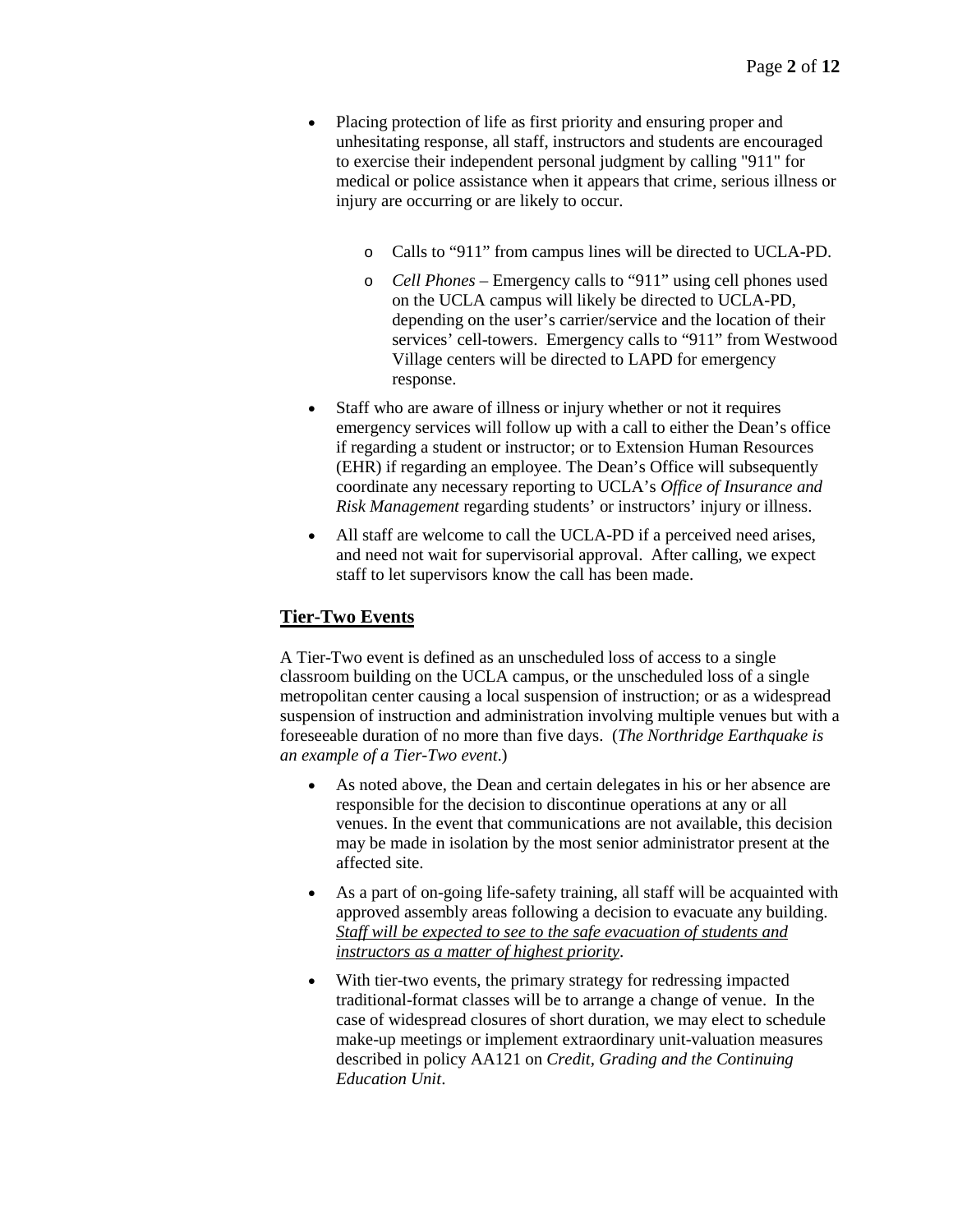- Placing protection of life as first priority and ensuring proper and unhesitating response, all staff, instructors and students are encouraged to exercise their independent personal judgment by calling "911" for medical or police assistance when it appears that crime, serious illness or injury are occurring or are likely to occur.
	- o Calls to "911" from campus lines will be directed to UCLA-PD.
	- o *Cell Phones* Emergency calls to "911" using cell phones used on the UCLA campus will likely be directed to UCLA-PD, depending on the user's carrier/service and the location of their services' cell-towers. Emergency calls to "911" from Westwood Village centers will be directed to LAPD for emergency response.
- Staff who are aware of illness or injury whether or not it requires emergency services will follow up with a call to either the Dean's office if regarding a student or instructor; or to Extension Human Resources (EHR) if regarding an employee. The Dean's Office will subsequently coordinate any necessary reporting to UCLA's *Office of Insurance and Risk Management* regarding students' or instructors' injury or illness.
- All staff are welcome to call the UCLA-PD if a perceived need arises, and need not wait for supervisorial approval. After calling, we expect staff to let supervisors know the call has been made.

# **Tier-Two Events**

A Tier-Two event is defined as an unscheduled loss of access to a single classroom building on the UCLA campus, or the unscheduled loss of a single metropolitan center causing a local suspension of instruction; or as a widespread suspension of instruction and administration involving multiple venues but with a foreseeable duration of no more than five days. (*The Northridge Earthquake is an example of a Tier-Two event*.)

- As noted above, the Dean and certain delegates in his or her absence are responsible for the decision to discontinue operations at any or all venues. In the event that communications are not available, this decision may be made in isolation by the most senior administrator present at the affected site.
- As a part of on-going life-safety training, all staff will be acquainted with approved assembly areas following a decision to evacuate any building. *Staff will be expected to see to the safe evacuation of students and instructors as a matter of highest priority*.
- With tier-two events, the primary strategy for redressing impacted traditional-format classes will be to arrange a change of venue. In the case of widespread closures of short duration, we may elect to schedule make-up meetings or implement extraordinary unit-valuation measures described in policy AA121 on *Credit, Grading and the Continuing Education Unit*.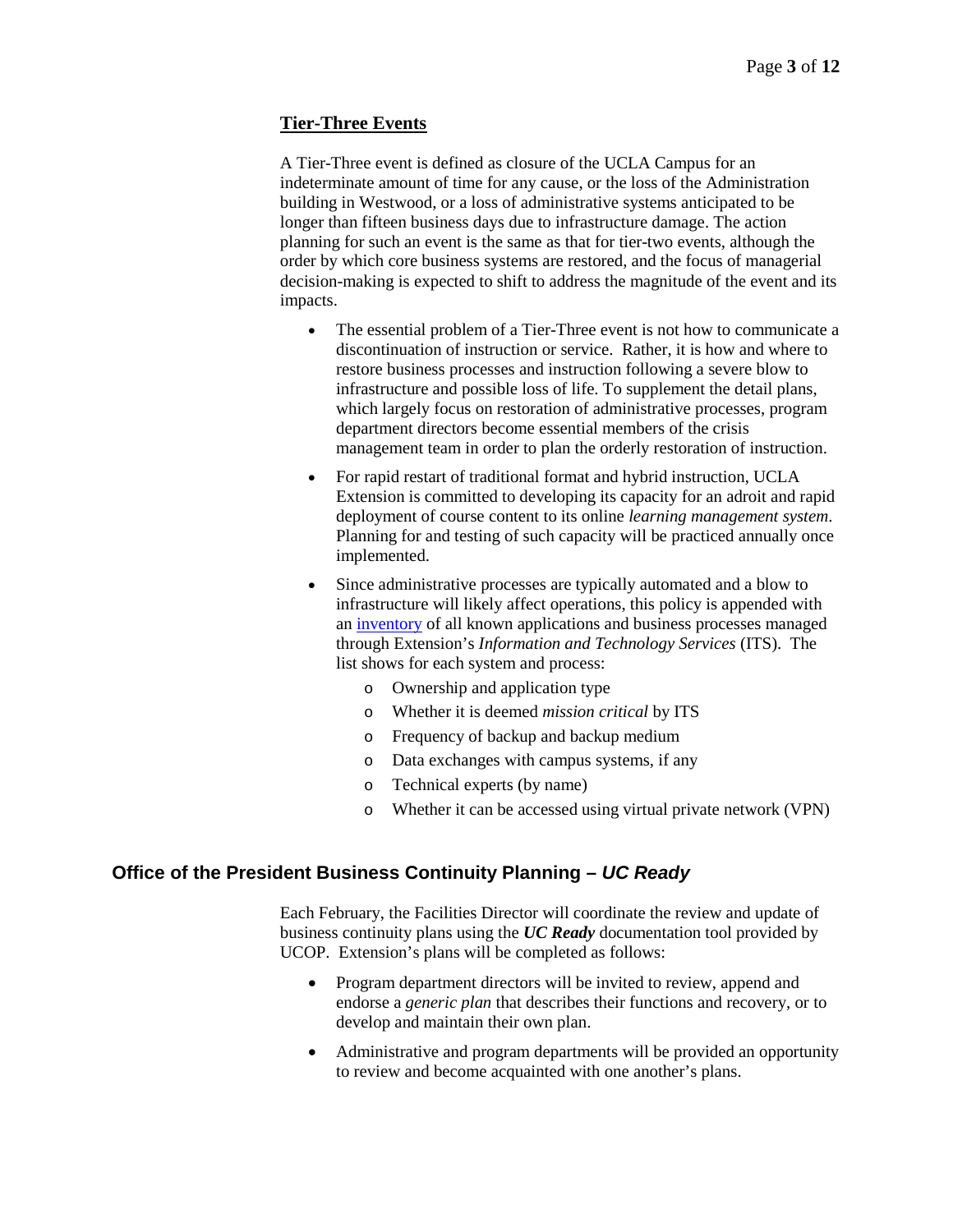# **Tier-Three Events**

A Tier-Three event is defined as closure of the UCLA Campus for an indeterminate amount of time for any cause, or the loss of the Administration building in Westwood, or a loss of administrative systems anticipated to be longer than fifteen business days due to infrastructure damage. The action planning for such an event is the same as that for tier-two events, although the order by which core business systems are restored, and the focus of managerial decision-making is expected to shift to address the magnitude of the event and its impacts.

- The essential problem of a Tier-Three event is not how to communicate a discontinuation of instruction or service. Rather, it is how and where to restore business processes and instruction following a severe blow to infrastructure and possible loss of life. To supplement the detail plans, which largely focus on restoration of administrative processes, program department directors become essential members of the crisis management team in order to plan the orderly restoration of instruction.
- For rapid restart of traditional format and hybrid instruction, UCLA Extension is committed to developing its capacity for an adroit and rapid deployment of course content to its online *learning management system*. Planning for and testing of such capacity will be practiced annually once implemented.
- Since administrative processes are typically automated and a blow to infrastructure will likely affect operations, this policy is appended with an [inventory](https://intracon.uclaextension.edu/policies/ITSContinuityPlan.pdf) of all known applications and business processes managed through Extension's *Information and Technology Services* (ITS). The list shows for each system and process:
	- o Ownership and application type
	- o Whether it is deemed *mission critical* by ITS
	- o Frequency of backup and backup medium
	- o Data exchanges with campus systems, if any
	- o Technical experts (by name)
	- o Whether it can be accessed using virtual private network (VPN)

# **Office of the President Business Continuity Planning –** *UC Ready*

Each February, the Facilities Director will coordinate the review and update of business continuity plans using the *UC Ready* documentation tool provided by UCOP. Extension's plans will be completed as follows:

- Program department directors will be invited to review, append and endorse a *generic plan* that describes their functions and recovery, or to develop and maintain their own plan.
- Administrative and program departments will be provided an opportunity to review and become acquainted with one another's plans.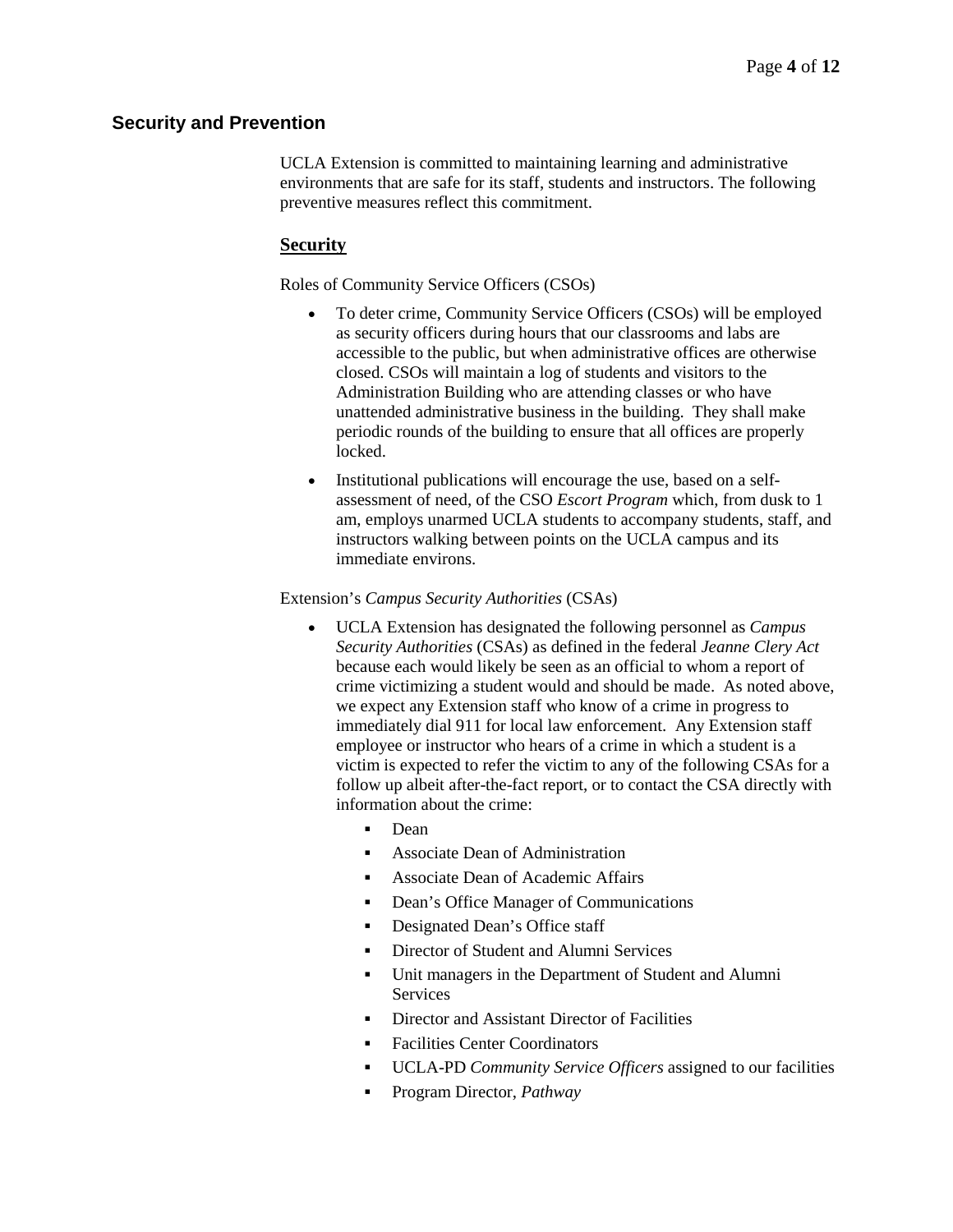# **Security and Prevention**

UCLA Extension is committed to maintaining learning and administrative environments that are safe for its staff, students and instructors. The following preventive measures reflect this commitment.

# **Security**

Roles of Community Service Officers (CSOs)

- To deter crime, Community Service Officers (CSOs) will be employed as security officers during hours that our classrooms and labs are accessible to the public, but when administrative offices are otherwise closed. CSOs will maintain a log of students and visitors to the Administration Building who are attending classes or who have unattended administrative business in the building. They shall make periodic rounds of the building to ensure that all offices are properly locked.
- Institutional publications will encourage the use, based on a selfassessment of need, of the CSO *Escort Program* which, from dusk to 1 am, employs unarmed UCLA students to accompany students, staff, and instructors walking between points on the UCLA campus and its immediate environs.

### Extension's *Campus Security Authorities* (CSAs)

- UCLA Extension has designated the following personnel as *Campus Security Authorities* (CSAs) as defined in the federal *Jeanne Clery Act* because each would likely be seen as an official to whom a report of crime victimizing a student would and should be made. As noted above, we expect any Extension staff who know of a crime in progress to immediately dial 911 for local law enforcement. Any Extension staff employee or instructor who hears of a crime in which a student is a victim is expected to refer the victim to any of the following CSAs for a follow up albeit after-the-fact report, or to contact the CSA directly with information about the crime:
	- **Dean**
	- Associate Dean of Administration
	- Associate Dean of Academic Affairs
	- Dean's Office Manager of Communications
	- Designated Dean's Office staff
	- Director of Student and Alumni Services
	- Unit managers in the Department of Student and Alumni Services
	- Director and Assistant Director of Facilities
	- Facilities Center Coordinators
	- UCLA-PD *Community Service Officers* assigned to our facilities
	- Program Director, *Pathway*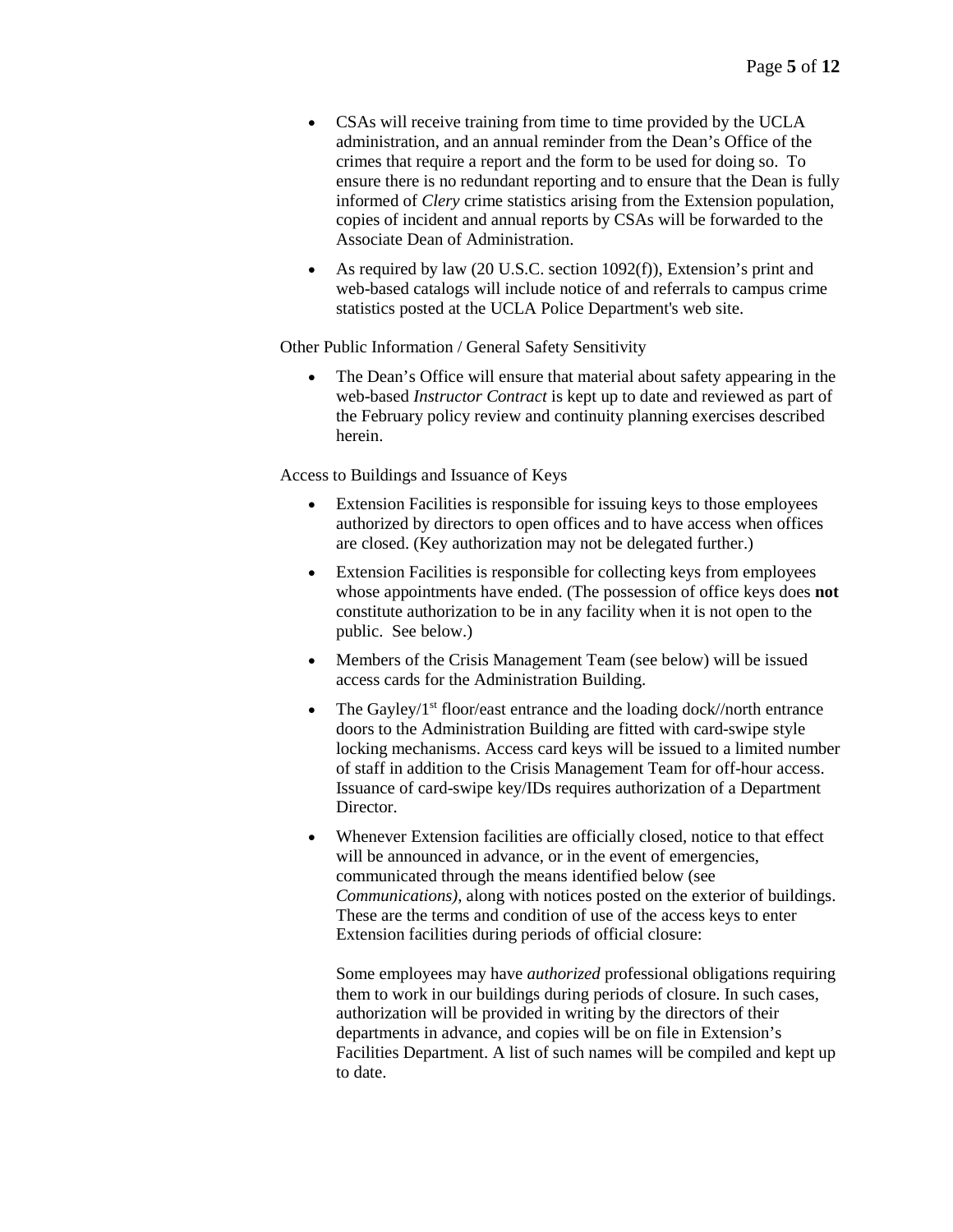- CSAs will receive training from time to time provided by the UCLA administration, and an annual reminder from the Dean's Office of the crimes that require a report and the form to be used for doing so. To ensure there is no redundant reporting and to ensure that the Dean is fully informed of *Clery* crime statistics arising from the Extension population, copies of incident and annual reports by CSAs will be forwarded to the Associate Dean of Administration.
- As required by law (20 U.S.C. section 1092(f)), Extension's print and web-based catalogs will include notice of and referrals to campus crime statistics posted at the UCLA Police Department's web site.

Other Public Information / General Safety Sensitivity

• The Dean's Office will ensure that material about safety appearing in the web-based *Instructor Contract* is kept up to date and reviewed as part of the February policy review and continuity planning exercises described herein.

Access to Buildings and Issuance of Keys

- Extension Facilities is responsible for issuing keys to those employees authorized by directors to open offices and to have access when offices are closed. (Key authorization may not be delegated further.)
- Extension Facilities is responsible for collecting keys from employees whose appointments have ended. (The possession of office keys does **not**  constitute authorization to be in any facility when it is not open to the public. See below.)
- Members of the Crisis Management Team (see below) will be issued access cards for the Administration Building.
- The Gayley/ $1<sup>st</sup>$  floor/east entrance and the loading dock//north entrance doors to the Administration Building are fitted with card-swipe style locking mechanisms. Access card keys will be issued to a limited number of staff in addition to the Crisis Management Team for off-hour access. Issuance of card-swipe key/IDs requires authorization of a Department Director.
- Whenever Extension facilities are officially closed, notice to that effect will be announced in advance, or in the event of emergencies, communicated through the means identified below (see *Communications)*, along with notices posted on the exterior of buildings. These are the terms and condition of use of the access keys to enter Extension facilities during periods of official closure:

Some employees may have *authorized* professional obligations requiring them to work in our buildings during periods of closure. In such cases, authorization will be provided in writing by the directors of their departments in advance, and copies will be on file in Extension's Facilities Department. A list of such names will be compiled and kept up to date.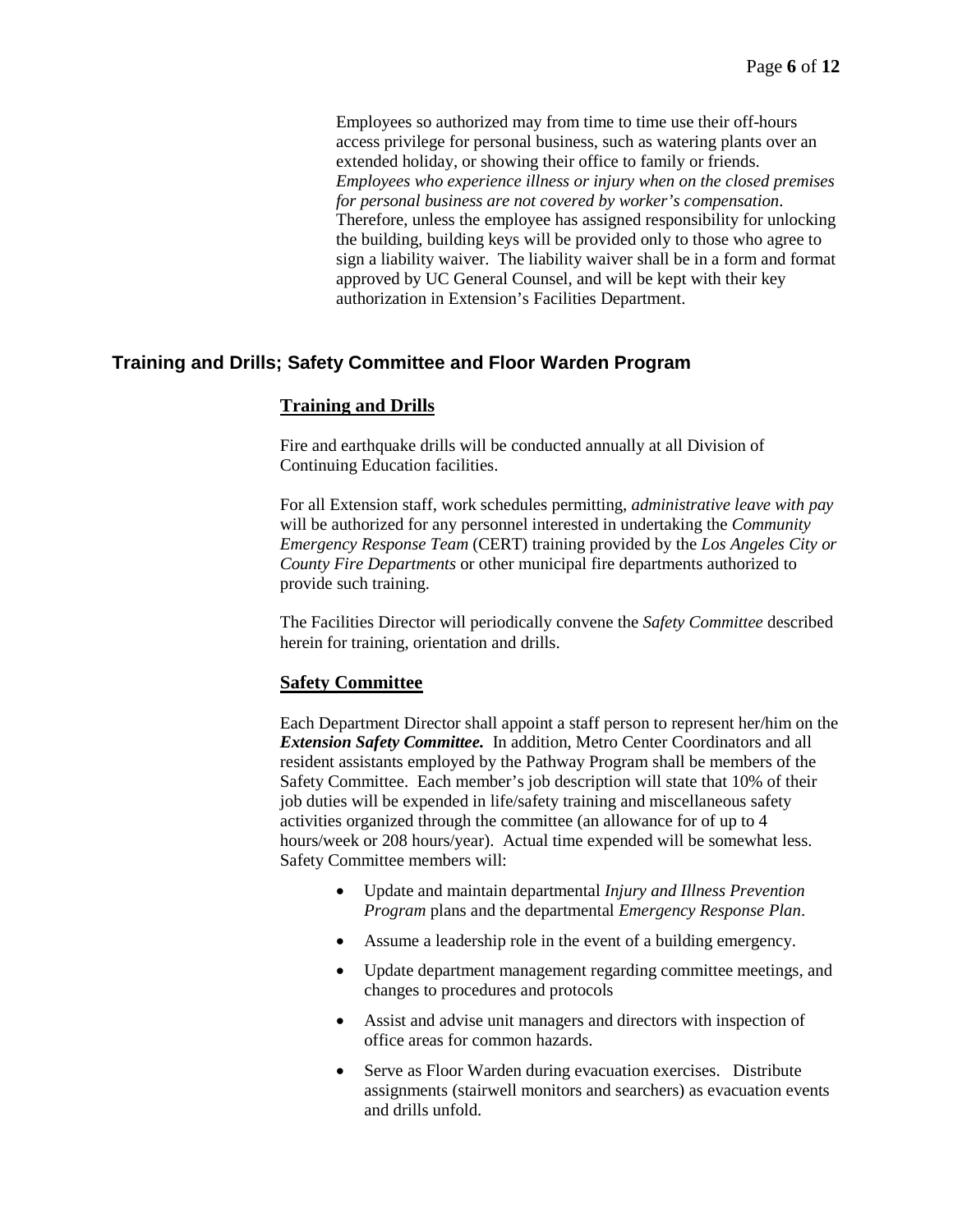Employees so authorized may from time to time use their off-hours access privilege for personal business, such as watering plants over an extended holiday, or showing their office to family or friends. *Employees who experience illness or injury when on the closed premises for personal business are not covered by worker's compensation*. Therefore, unless the employee has assigned responsibility for unlocking the building, building keys will be provided only to those who agree to sign a liability waiver. The liability waiver shall be in a form and format approved by UC General Counsel, and will be kept with their key authorization in Extension's Facilities Department.

# **Training and Drills; Safety Committee and Floor Warden Program**

### **Training and Drills**

Fire and earthquake drills will be conducted annually at all Division of Continuing Education facilities.

For all Extension staff, work schedules permitting, *administrative leave with pay* will be authorized for any personnel interested in undertaking the *Community Emergency Response Team* (CERT) training provided by the *Los Angeles City or County Fire Departments* or other municipal fire departments authorized to provide such training.

The Facilities Director will periodically convene the *Safety Committee* described herein for training, orientation and drills.

### **Safety Committee**

Each Department Director shall appoint a staff person to represent her/him on the **Extension Safety Committee.** In addition, Metro Center Coordinators and all resident assistants employed by the Pathway Program shall be members of the Safety Committee. Each member's job description will state that 10% of their job duties will be expended in life/safety training and miscellaneous safety activities organized through the committee (an allowance for of up to 4 hours/week or 208 hours/year). Actual time expended will be somewhat less. Safety Committee members will:

- Update and maintain departmental *Injury and Illness Prevention Program* plans and the departmental *Emergency Response Plan*.
- Assume a leadership role in the event of a building emergency.
- Update department management regarding committee meetings, and changes to procedures and protocols
- Assist and advise unit managers and directors with inspection of office areas for common hazards.
- Serve as Floor Warden during evacuation exercises. Distribute assignments (stairwell monitors and searchers) as evacuation events and drills unfold.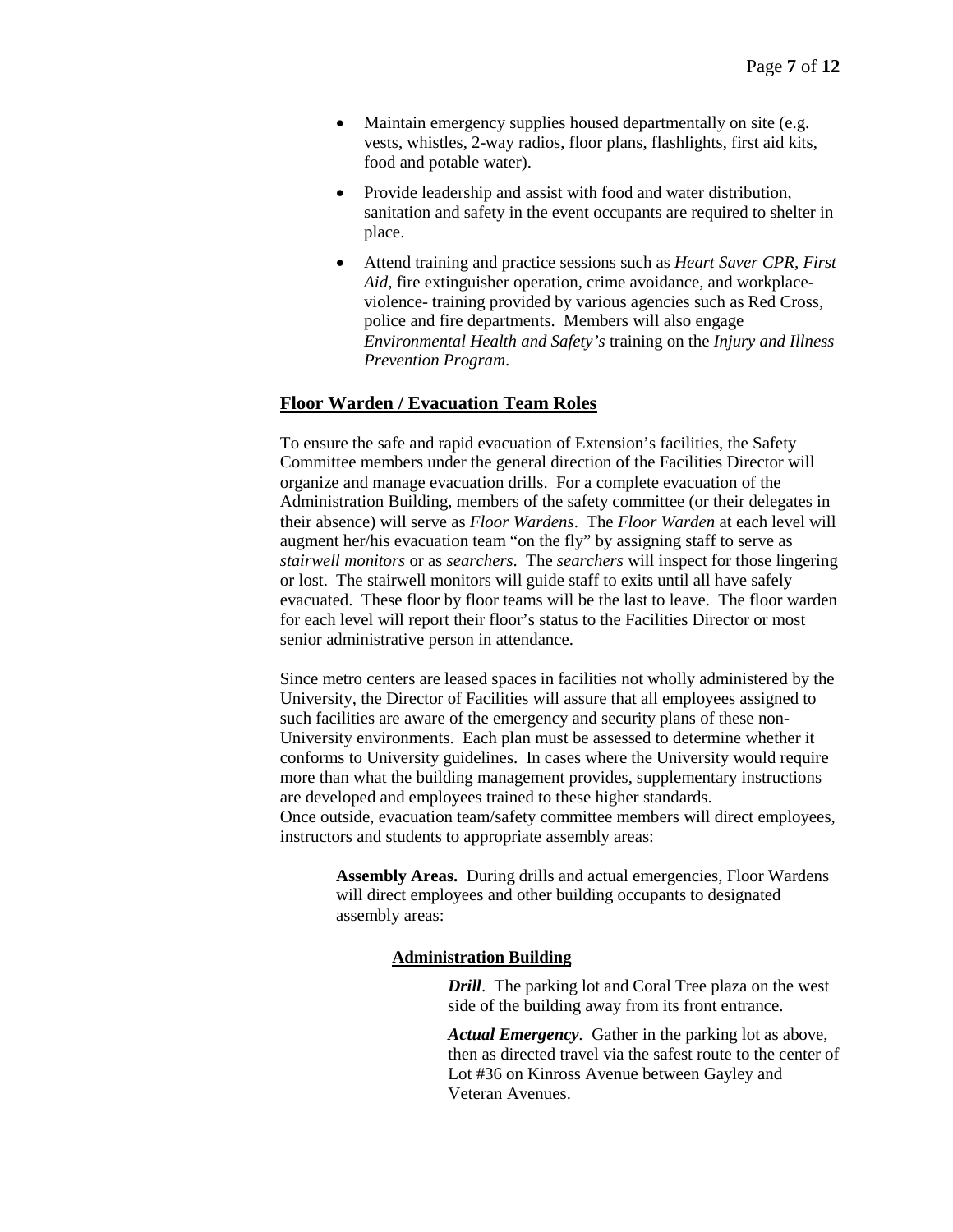- Maintain emergency supplies housed departmentally on site (e.g. vests, whistles, 2-way radios, floor plans, flashlights, first aid kits, food and potable water).
- Provide leadership and assist with food and water distribution, sanitation and safety in the event occupants are required to shelter in place.
- Attend training and practice sessions such as *Heart Saver CPR, First Aid*, fire extinguisher operation, crime avoidance, and workplaceviolence- training provided by various agencies such as Red Cross, police and fire departments. Members will also engage *Environmental Health and Safety's* training on the *Injury and Illness Prevention Program*.

### **Floor Warden / Evacuation Team Roles**

To ensure the safe and rapid evacuation of Extension's facilities, the Safety Committee members under the general direction of the Facilities Director will organize and manage evacuation drills. For a complete evacuation of the Administration Building, members of the safety committee (or their delegates in their absence) will serve as *Floor Wardens*. The *Floor Warden* at each level will augment her/his evacuation team "on the fly" by assigning staff to serve as *stairwell monitors* or as *searchers*. The *searchers* will inspect for those lingering or lost. The stairwell monitors will guide staff to exits until all have safely evacuated. These floor by floor teams will be the last to leave. The floor warden for each level will report their floor's status to the Facilities Director or most senior administrative person in attendance.

Since metro centers are leased spaces in facilities not wholly administered by the University, the Director of Facilities will assure that all employees assigned to such facilities are aware of the emergency and security plans of these non-University environments. Each plan must be assessed to determine whether it conforms to University guidelines. In cases where the University would require more than what the building management provides, supplementary instructions are developed and employees trained to these higher standards. Once outside, evacuation team/safety committee members will direct employees, instructors and students to appropriate assembly areas:

**Assembly Areas.** During drills and actual emergencies, Floor Wardens will direct employees and other building occupants to designated assembly areas:

#### **Administration Building**

*Drill*. The parking lot and Coral Tree plaza on the west side of the building away from its front entrance.

*Actual Emergency.* Gather in the parking lot as above, then as directed travel via the safest route to the center of Lot #36 on Kinross Avenue between Gayley and Veteran Avenues.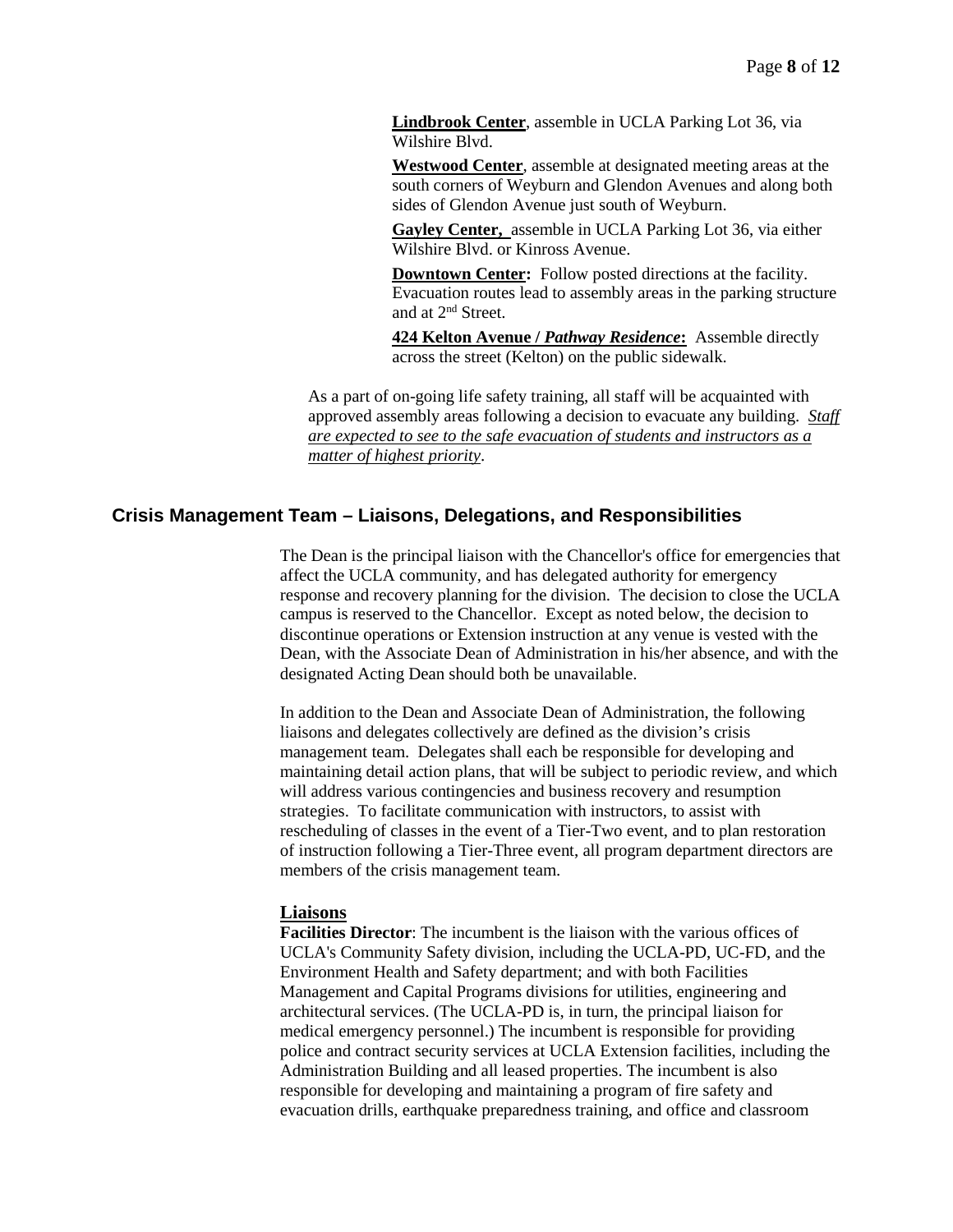**[Lindbrook Center](file://intracon/../../intracon/policies/refs/LBC.doc)**, assemble in UCLA Parking Lot 36, via Wilshire Blvd.

**[Westwood Center](file://intracon/../../intracon/policies/refs/1010WC.doc)**, assemble at designated meeting areas at the south corners of Weyburn and Glendon Avenues and along both sides of Glendon Avenue just south of Weyburn.

**[Gayley Center,](file://intracon/../../intracon/policies/refs/WVC.doc)** assemble in UCLA Parking Lot 36, via either Wilshire Blvd. or Kinross Avenue.

**Downtown Center:** Follow posted directions at the facility. Evacuation routes lead to assembly areas in the parking structure and at 2nd Street.

**424 Kelton Avenue /** *Pathway Residence***:** Assemble directly across the street (Kelton) on the public sidewalk.

As a part of on-going life safety training, all staff will be acquainted with approved assembly areas following a decision to evacuate any building. *Staff are expected to see to the safe evacuation of students and instructors as a matter of highest priority*.

# **Crisis Management Team – Liaisons, Delegations, and Responsibilities**

The Dean is the principal liaison with the Chancellor's office for emergencies that affect the UCLA community, and has delegated authority for emergency response and recovery planning for the division. The decision to close the UCLA campus is reserved to the Chancellor. Except as noted below, the decision to discontinue operations or Extension instruction at any venue is vested with the Dean, with the Associate Dean of Administration in his/her absence, and with the designated Acting Dean should both be unavailable.

In addition to the Dean and Associate Dean of Administration, the following liaisons and delegates collectively are defined as the division's crisis management team. Delegates shall each be responsible for developing and maintaining detail action plans, that will be subject to periodic review, and which will address various contingencies and business recovery and resumption strategies. To facilitate communication with instructors, to assist with rescheduling of classes in the event of a Tier-Two event, and to plan restoration of instruction following a Tier-Three event, all program department directors are members of the crisis management team.

### **Liaisons**

**Facilities Director**: The incumbent is the liaison with the various offices of UCLA's Community Safety division, including the UCLA-PD, UC-FD, and the Environment Health and Safety department; and with both Facilities Management and Capital Programs divisions for utilities, engineering and architectural services. (The UCLA-PD is, in turn, the principal liaison for medical emergency personnel.) The incumbent is responsible for providing police and contract security services at UCLA Extension facilities, including the Administration Building and all leased properties. The incumbent is also responsible for developing and maintaining a program of fire safety and evacuation drills, earthquake preparedness training, and office and classroom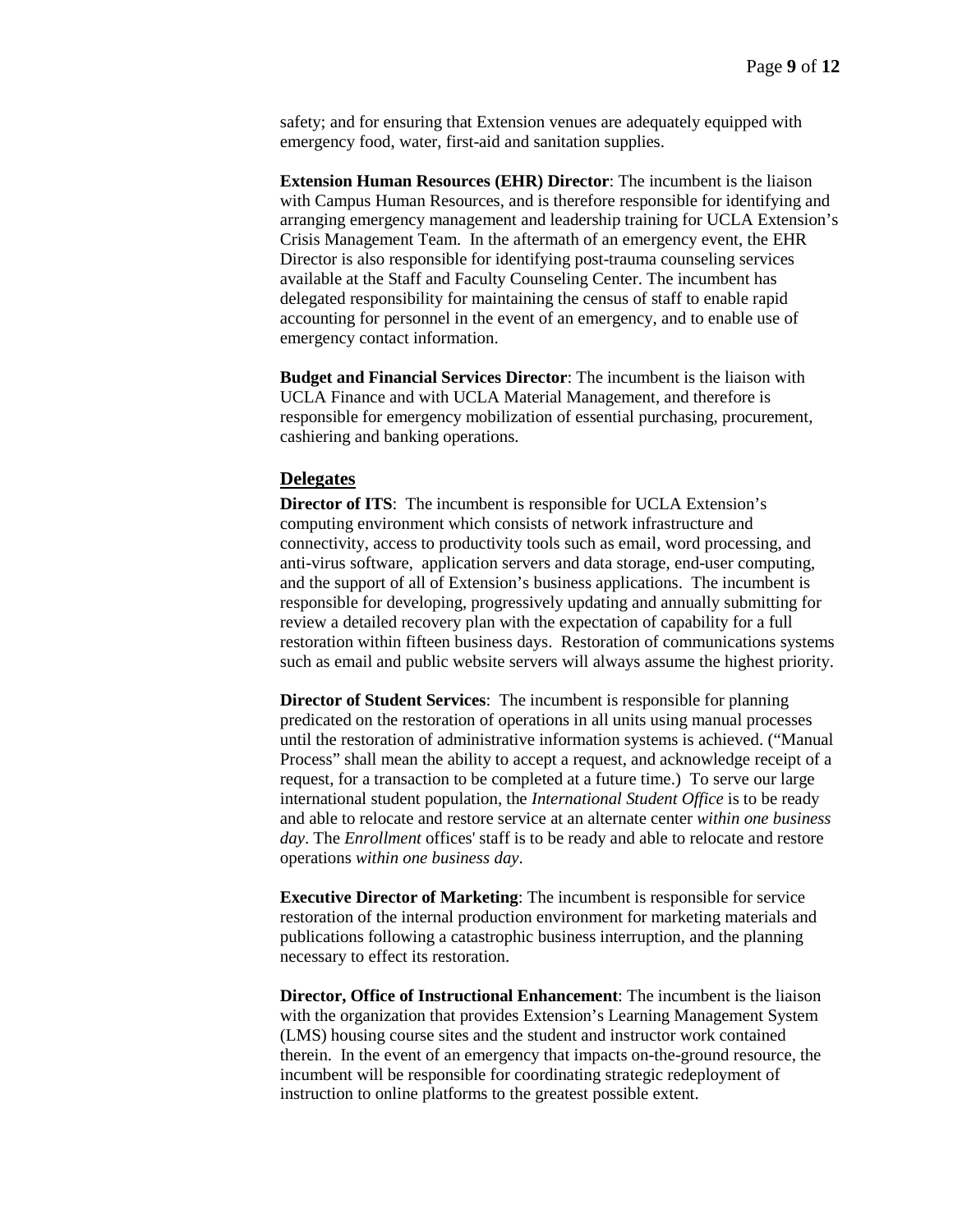safety; and for ensuring that Extension venues are adequately equipped with emergency food, water, first-aid and sanitation supplies.

**Extension Human Resources (EHR) Director**: The incumbent is the liaison with Campus Human Resources, and is therefore responsible for identifying and arranging emergency management and leadership training for UCLA Extension's Crisis Management Team. In the aftermath of an emergency event, the EHR Director is also responsible for identifying post-trauma counseling services available at the Staff and Faculty Counseling Center. The incumbent has delegated responsibility for maintaining the census of staff to enable rapid accounting for personnel in the event of an emergency, and to enable use of emergency contact information.

**Budget and Financial Services Director**: The incumbent is the liaison with UCLA Finance and with UCLA Material Management, and therefore is responsible for emergency mobilization of essential purchasing, procurement, cashiering and banking operations.

### **Delegates**

**Director of ITS:** The incumbent is responsible for UCLA Extension's computing environment which consists of network infrastructure and connectivity, access to productivity tools such as email, word processing, and anti-virus software, application servers and data storage, end-user computing, and the support of all of Extension's business applications. The incumbent is responsible for developing, progressively updating and annually submitting for review a detailed recovery plan with the expectation of capability for a full restoration within fifteen business days. Restoration of communications systems such as email and public website servers will always assume the highest priority.

**Director of Student Services**: The incumbent is responsible for planning predicated on the restoration of operations in all units using manual processes until the restoration of administrative information systems is achieved. ("Manual Process" shall mean the ability to accept a request, and acknowledge receipt of a request, for a transaction to be completed at a future time.) To serve our large international student population, the *International Student Office* is to be ready and able to relocate and restore service at an alternate center *within one business day*. The *Enrollment* offices' staff is to be ready and able to relocate and restore operations *within one business day*.

**Executive Director of Marketing**: The incumbent is responsible for service restoration of the internal production environment for marketing materials and publications following a catastrophic business interruption, and the planning necessary to effect its restoration.

**Director, Office of Instructional Enhancement**: The incumbent is the liaison with the organization that provides Extension's Learning Management System (LMS) housing course sites and the student and instructor work contained therein. In the event of an emergency that impacts on-the-ground resource, the incumbent will be responsible for coordinating strategic redeployment of instruction to online platforms to the greatest possible extent.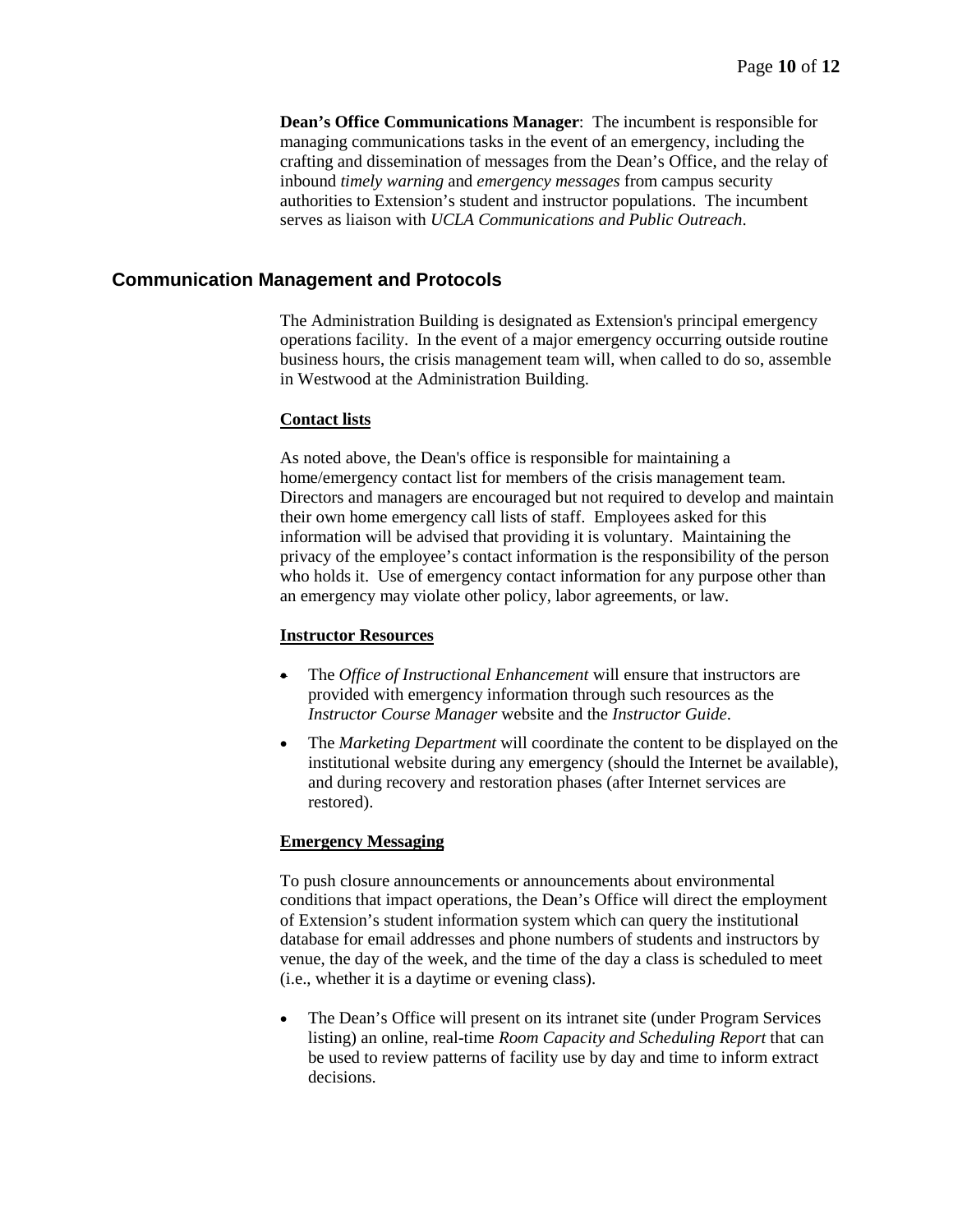**Dean's Office Communications Manager**: The incumbent is responsible for managing communications tasks in the event of an emergency, including the crafting and dissemination of messages from the Dean's Office, and the relay of inbound *timely warning* and *emergency messages* from campus security authorities to Extension's student and instructor populations. The incumbent serves as liaison with *UCLA Communications and Public Outreach*.

### **Communication Management and Protocols**

The Administration Building is designated as Extension's principal emergency operations facility. In the event of a major emergency occurring outside routine business hours, the crisis management team will, when called to do so, assemble in Westwood at the Administration Building.

#### **Contact lists**

As noted above, the Dean's office is responsible for maintaining a home/emergency contact list for members of the crisis management team. Directors and managers are encouraged but not required to develop and maintain their own home emergency call lists of staff. Employees asked for this information will be advised that providing it is voluntary. Maintaining the privacy of the employee's contact information is the responsibility of the person who holds it. Use of emergency contact information for any purpose other than an emergency may violate other policy, labor agreements, or law.

#### **Instructor Resources**

- The *Office of Instructional Enhancement* will ensure that instructors are provided with emergency information through such resources as the *Instructor Course Manager* website and the *Instructor Guide*.
- The *Marketing Department* will coordinate the content to be displayed on the institutional website during any emergency (should the Internet be available), and during recovery and restoration phases (after Internet services are restored).

#### **Emergency Messaging**

To push closure announcements or announcements about environmental conditions that impact operations, the Dean's Office will direct the employment of Extension's student information system which can query the institutional database for email addresses and phone numbers of students and instructors by venue, the day of the week, and the time of the day a class is scheduled to meet (i.e., whether it is a daytime or evening class).

• The Dean's Office will present on its intranet site (under Program Services listing) an online, real-time *Room Capacity and Scheduling Report* that can be used to review patterns of facility use by day and time to inform extract decisions.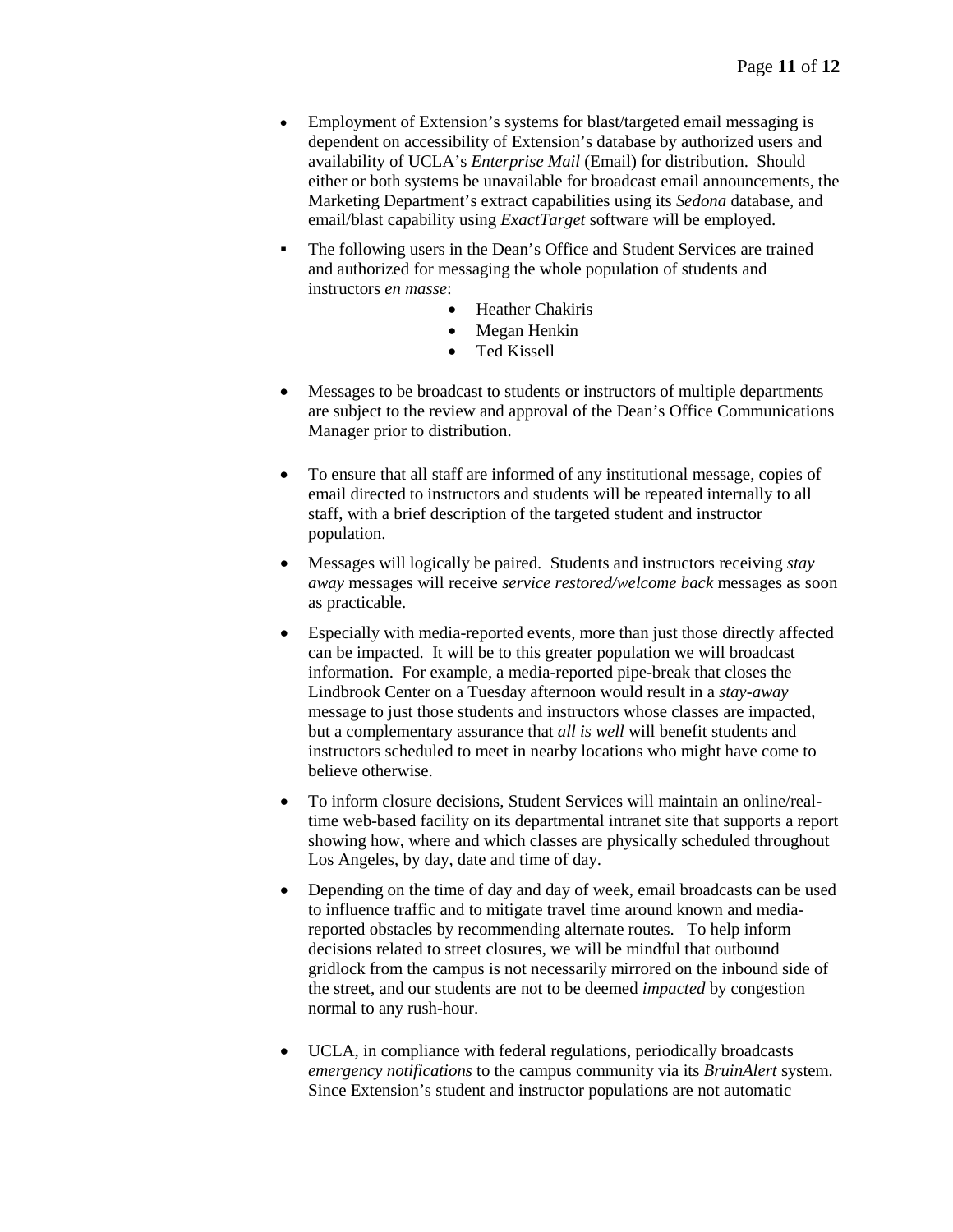- Employment of Extension's systems for blast/targeted email messaging is dependent on accessibility of Extension's database by authorized users and availability of UCLA's *Enterprise Mail* (Email) for distribution. Should either or both systems be unavailable for broadcast email announcements, the Marketing Department's extract capabilities using its *Sedona* database, and email/blast capability using *ExactTarget* software will be employed.
- The following users in the Dean's Office and Student Services are trained and authorized for messaging the whole population of students and instructors *en masse*:
	- Heather Chakiris
	- Megan Henkin
	- Ted Kissell
- Messages to be broadcast to students or instructors of multiple departments are subject to the review and approval of the Dean's Office Communications Manager prior to distribution.
- To ensure that all staff are informed of any institutional message, copies of email directed to instructors and students will be repeated internally to all staff, with a brief description of the targeted student and instructor population.
- Messages will logically be paired. Students and instructors receiving *stay away* messages will receive *service restored/welcome back* messages as soon as practicable.
- Especially with media-reported events, more than just those directly affected can be impacted. It will be to this greater population we will broadcast information. For example, a media-reported pipe-break that closes the Lindbrook Center on a Tuesday afternoon would result in a *stay-away* message to just those students and instructors whose classes are impacted, but a complementary assurance that *all is well* will benefit students and instructors scheduled to meet in nearby locations who might have come to believe otherwise.
- To inform closure decisions, Student Services will maintain an online/realtime web-based facility on its departmental intranet site that supports a report showing how, where and which classes are physically scheduled throughout Los Angeles, by day, date and time of day.
- Depending on the time of day and day of week, email broadcasts can be used to influence traffic and to mitigate travel time around known and mediareported obstacles by recommending alternate routes. To help inform decisions related to street closures, we will be mindful that outbound gridlock from the campus is not necessarily mirrored on the inbound side of the street, and our students are not to be deemed *impacted* by congestion normal to any rush-hour.
- UCLA, in compliance with federal regulations, periodically broadcasts *emergency notifications* to the campus community via its *BruinAlert* system. Since Extension's student and instructor populations are not automatic